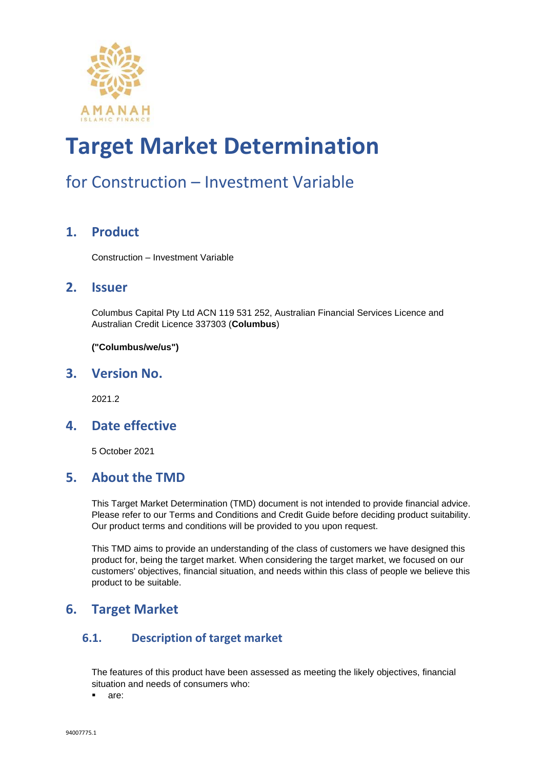

### for Construction – Investment Variable

#### **1. Product**

Construction – Investment Variable

#### **2. Issuer**

Columbus Capital Pty Ltd ACN 119 531 252, Australian Financial Services Licence and Australian Credit Licence 337303 (**Columbus**)

**("Columbus/we/us")**

#### **3. Version No.**

2021.2

#### **4. Date effective**

5 October 2021

#### **5. About the TMD**

This Target Market Determination (TMD) document is not intended to provide financial advice. Please refer to our Terms and Conditions and Credit Guide before deciding product suitability. Our product terms and conditions will be provided to you upon request.

This TMD aims to provide an understanding of the class of customers we have designed this product for, being the target market. When considering the target market, we focused on our customers' objectives, financial situation, and needs within this class of people we believe this product to be suitable.

#### **6. Target Market**

#### **6.1. Description of target market**

The features of this product have been assessed as meeting the likely objectives, financial situation and needs of consumers who:

▪ are: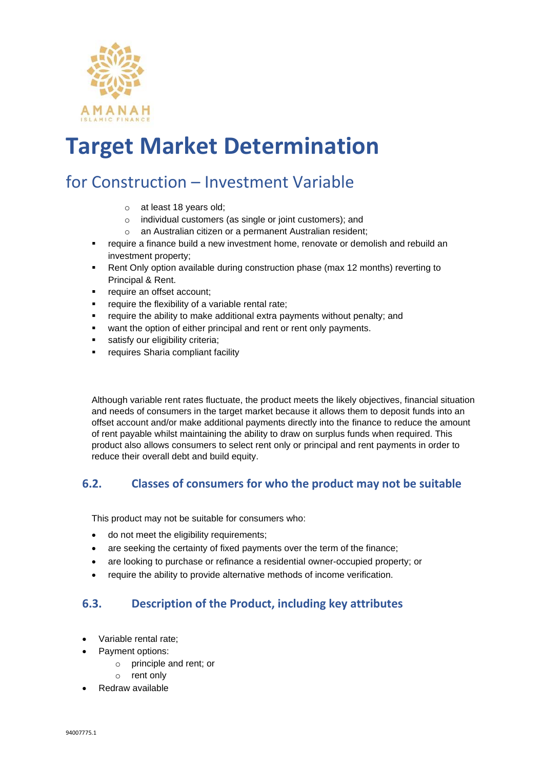

### for Construction – Investment Variable

- o at least 18 years old;
- o individual customers (as single or joint customers); and
- o an Australian citizen or a permanent Australian resident;
- require a finance build a new investment home, renovate or demolish and rebuild an investment property;
- Rent Only option available during construction phase (max 12 months) reverting to Principal & Rent.
- require an offset account;
- require the flexibility of a variable rental rate;
- require the ability to make additional extra payments without penalty; and
- want the option of either principal and rent or rent only payments.
- satisfy our eligibility criteria;
- requires Sharia compliant facility

Although variable rent rates fluctuate, the product meets the likely objectives, financial situation and needs of consumers in the target market because it allows them to deposit funds into an offset account and/or make additional payments directly into the finance to reduce the amount of rent payable whilst maintaining the ability to draw on surplus funds when required. This product also allows consumers to select rent only or principal and rent payments in order to reduce their overall debt and build equity.

#### **6.2. Classes of consumers for who the product may not be suitable**

This product may not be suitable for consumers who:

- do not meet the eligibility requirements;
- are seeking the certainty of fixed payments over the term of the finance:
- are looking to purchase or refinance a residential owner-occupied property; or
- require the ability to provide alternative methods of income verification.

#### **6.3. Description of the Product, including key attributes**

- Variable rental rate;
- Payment options:
	- o principle and rent; or
	- o rent only
- Redraw available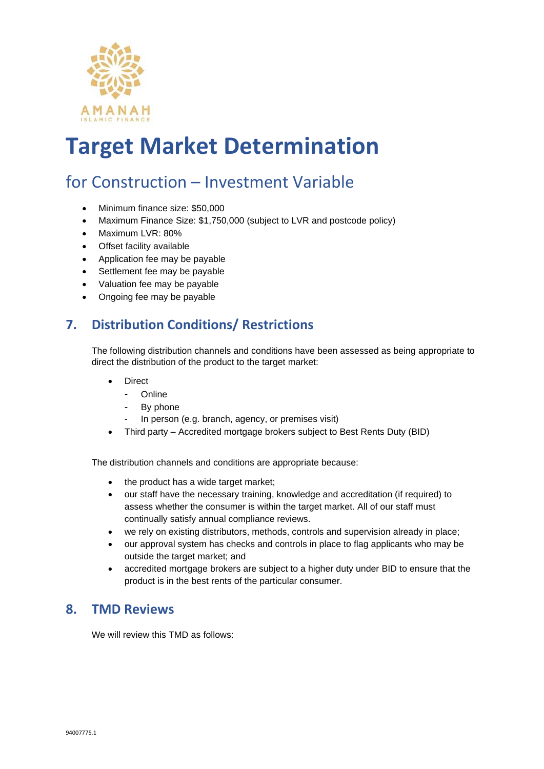

### for Construction – Investment Variable

- Minimum finance size: \$50,000
- Maximum Finance Size: \$1,750,000 (subject to LVR and postcode policy)
- Maximum LVR: 80%
- Offset facility available
- Application fee may be payable
- Settlement fee may be payable
- Valuation fee may be payable
- Ongoing fee may be payable

#### **7. Distribution Conditions/ Restrictions**

The following distribution channels and conditions have been assessed as being appropriate to direct the distribution of the product to the target market:

- **Direct** 
	- **Online**
	- By phone
	- In person (e.g. branch, agency, or premises visit)
- Third party Accredited mortgage brokers subject to Best Rents Duty (BID)

The distribution channels and conditions are appropriate because:

- the product has a wide target market;
- our staff have the necessary training, knowledge and accreditation (if required) to assess whether the consumer is within the target market. All of our staff must continually satisfy annual compliance reviews.
- we rely on existing distributors, methods, controls and supervision already in place;
- our approval system has checks and controls in place to flag applicants who may be outside the target market; and
- accredited mortgage brokers are subject to a higher duty under BID to ensure that the product is in the best rents of the particular consumer.

#### **8. TMD Reviews**

We will review this TMD as follows: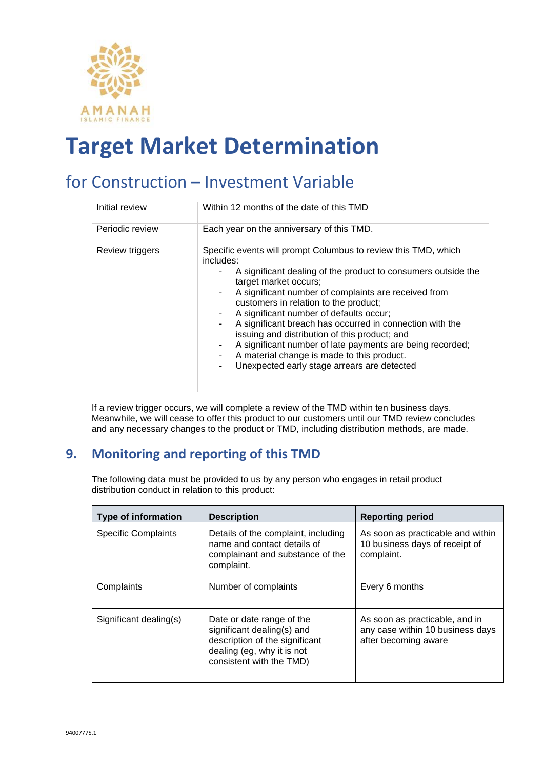

### for Construction – Investment Variable

| Initial review  | Within 12 months of the date of this TMD                                                                                                                                                                                                                                                                                                                                                                                                                                                                                                                                                                 |
|-----------------|----------------------------------------------------------------------------------------------------------------------------------------------------------------------------------------------------------------------------------------------------------------------------------------------------------------------------------------------------------------------------------------------------------------------------------------------------------------------------------------------------------------------------------------------------------------------------------------------------------|
| Periodic review | Each year on the anniversary of this TMD.                                                                                                                                                                                                                                                                                                                                                                                                                                                                                                                                                                |
| Review triggers | Specific events will prompt Columbus to review this TMD, which<br>includes:<br>A significant dealing of the product to consumers outside the<br>target market occurs;<br>A significant number of complaints are received from<br>۰.<br>customers in relation to the product;<br>A significant number of defaults occur;<br>A significant breach has occurred in connection with the<br>۰<br>issuing and distribution of this product; and<br>A significant number of late payments are being recorded;<br>A material change is made to this product.<br>Unexpected early stage arrears are detected<br>٠ |

If a review trigger occurs, we will complete a review of the TMD within ten business days. Meanwhile, we will cease to offer this product to our customers until our TMD review concludes and any necessary changes to the product or TMD, including distribution methods, are made.

#### **9. Monitoring and reporting of this TMD**

The following data must be provided to us by any person who engages in retail product distribution conduct in relation to this product:

| <b>Type of information</b> | <b>Description</b>                                                                                                                                  | <b>Reporting period</b>                                                                    |
|----------------------------|-----------------------------------------------------------------------------------------------------------------------------------------------------|--------------------------------------------------------------------------------------------|
| <b>Specific Complaints</b> | Details of the complaint, including<br>name and contact details of<br>complainant and substance of the<br>complaint.                                | As soon as practicable and within<br>10 business days of receipt of<br>complaint.          |
| Complaints                 | Number of complaints                                                                                                                                | Every 6 months                                                                             |
| Significant dealing(s)     | Date or date range of the<br>significant dealing(s) and<br>description of the significant<br>dealing (eg, why it is not<br>consistent with the TMD) | As soon as practicable, and in<br>any case within 10 business days<br>after becoming aware |